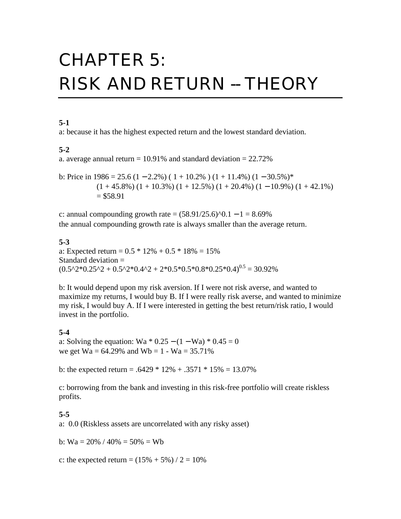# CHAPTER 5: **RISK AND RETURN -- THEORY**

# **5-1**

a: because it has the highest expected return and the lowest standard deviation.

#### **5-2**

a. average annual return =  $10.91\%$  and standard deviation =  $22.72\%$ 

b: Price in  $1986 = 25.6 (1 - 2.2%) (1 + 10.2%) (1 + 11.4%) (1 - 30.5%)*$  $(1 + 45.8\%) (1 + 10.3\%) (1 + 12.5\%) (1 + 20.4\%) (1 - 10.9\%) (1 + 42.1\%)$  $= $58.91$ 

c: annual compounding growth rate =  $(58.91/25.6)^{0}$ . 1 – 1 = 8.69% the annual compounding growth rate is always smaller than the average return.

#### **5-3**

a: Expected return =  $0.5 * 12\% + 0.5 * 18\% = 15\%$ Standard deviation =  $(0.5^{\text{A}}2^{\text{*}}0.25^{\text{A}}2 + 0.5^{\text{A}}2^{\text{*}}0.4^{\text{A}}2 + 2^{\text{*}}0.5^{\text{*}}0.5^{\text{*}}0.8^{\text{*}}0.25^{\text{*}}0.4)^{0.5} = 30.92\%$ 

b: It would depend upon my risk aversion. If I were not risk averse, and wanted to maximize my returns, I would buy B. If I were really risk averse, and wanted to minimize my risk, I would buy A. If I were interested in getting the best return/risk ratio, I would invest in the portfolio.

#### **5-4**

a: Solving the equation: Wa \* 0.25 –  $(1 - Wa)$  \* 0.45 = 0 we get  $Wa = 64.29\%$  and  $Wb = 1 - Wa = 35.71\%$ 

b: the expected return =  $.6429 * 12\% + .3571 * 15\% = 13.07\%$ 

c: borrowing from the bank and investing in this risk-free portfolio will create riskless profits.

#### **5-5**

a: 0.0 (Riskless assets are uncorrelated with any risky asset)

b:  $Wa = 20\% / 40\% = 50\% = Wb$ 

c: the expected return =  $(15\% + 5\%) / 2 = 10\%$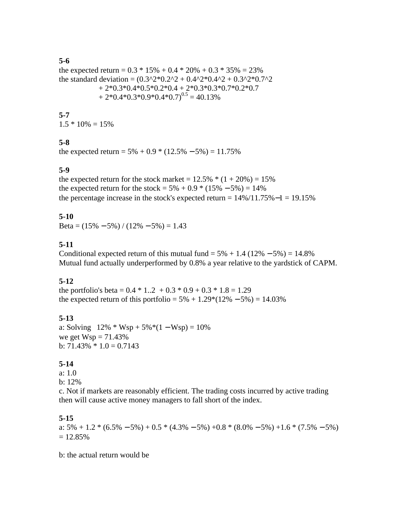# **5-6**

the expected return =  $0.3 * 15\% + 0.4 * 20\% + 0.3 * 35\% = 23\%$ the standard deviation =  $(0.3^2 \times 10.2^2 + 0.4^2 \times 0.4^2 + 0.3^2 \times 0.7^2)$  $+ 2*0.3*0.4*0.5*0.2*0.4 + 2*0.3*0.3*0.7*0.2*0.7$  $+ 2*0.4*0.3*0.9*0.4*0.7$ <sup>0.5</sup> = 40.13%

#### **5-7**  $1.5 * 10\% = 15\%$

# **5-8**

the expected return =  $5\% + 0.9 * (12.5\% - 5\%) = 11.75\%$ 

# **5-9**

the expected return for the stock market =  $12.5\%$  \*  $(1 + 20\%) = 15\%$ the expected return for the stock =  $5\% + 0.9 * (15\% - 5\%) = 14\%$ the percentage increase in the stock's expected return =  $14\%/11.75\% - 1 = 19.15\%$ 

# **5-10**

Beta =  $(15\% - 5\%) / (12\% - 5\%) = 1.43$ 

# **5-11**

Conditional expected return of this mutual fund =  $5\% + 1.4$  (12\% – 5\%) = 14.8\% Mutual fund actually underperformed by 0.8% a year relative to the yardstick of CAPM.

# **5-12**

the portfolio's beta =  $0.4 * 1.2 + 0.3 * 0.9 + 0.3 * 1.8 = 1.29$ the expected return of this portfolio =  $5\% + 1.29*(12\% - 5\%) = 14.03\%$ 

# **5-13**

a: Solving  $12\% * Wsp + 5\% * (1 - Wsp) = 10\%$ we get  $Wsp = 71.43%$ b:  $71.43\% * 1.0 = 0.7143$ 

# **5-14**

a: 1.0

b: 12%

c. Not if markets are reasonably efficient. The trading costs incurred by active trading then will cause active money managers to fall short of the index.

# **5-15**

a:  $5\% + 1.2 * (6.5\% - 5\%) + 0.5 * (4.3\% - 5\%) + 0.8 * (8.0\% - 5\%) + 1.6 * (7.5\% - 5\%)$  $= 12.85\%$ 

b: the actual return would be